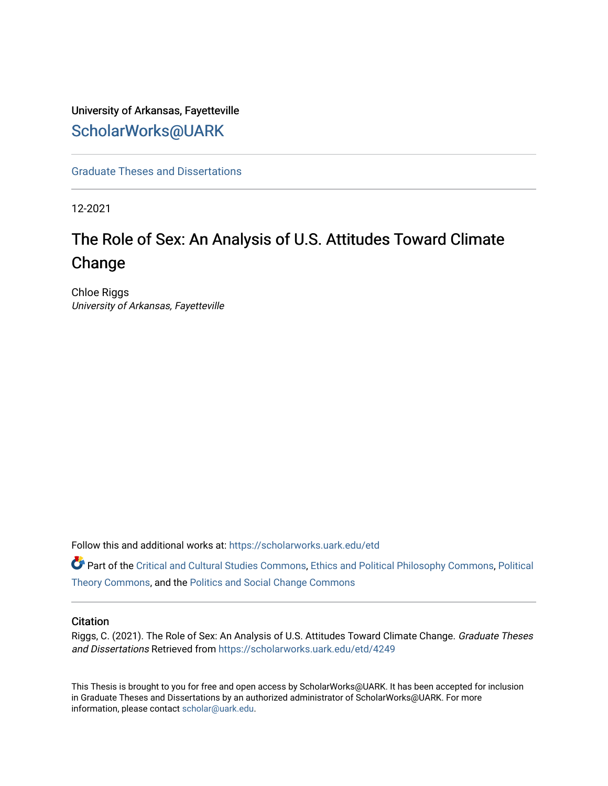# University of Arkansas, Fayetteville [ScholarWorks@UARK](https://scholarworks.uark.edu/)

[Graduate Theses and Dissertations](https://scholarworks.uark.edu/etd) 

12-2021

# The Role of Sex: An Analysis of U.S. Attitudes Toward Climate Change

Chloe Riggs University of Arkansas, Fayetteville

Follow this and additional works at: [https://scholarworks.uark.edu/etd](https://scholarworks.uark.edu/etd?utm_source=scholarworks.uark.edu%2Fetd%2F4249&utm_medium=PDF&utm_campaign=PDFCoverPages)

Part of the [Critical and Cultural Studies Commons](http://network.bepress.com/hgg/discipline/328?utm_source=scholarworks.uark.edu%2Fetd%2F4249&utm_medium=PDF&utm_campaign=PDFCoverPages), [Ethics and Political Philosophy Commons](http://network.bepress.com/hgg/discipline/529?utm_source=scholarworks.uark.edu%2Fetd%2F4249&utm_medium=PDF&utm_campaign=PDFCoverPages), [Political](http://network.bepress.com/hgg/discipline/391?utm_source=scholarworks.uark.edu%2Fetd%2F4249&utm_medium=PDF&utm_campaign=PDFCoverPages)  [Theory Commons](http://network.bepress.com/hgg/discipline/391?utm_source=scholarworks.uark.edu%2Fetd%2F4249&utm_medium=PDF&utm_campaign=PDFCoverPages), and the [Politics and Social Change Commons](http://network.bepress.com/hgg/discipline/425?utm_source=scholarworks.uark.edu%2Fetd%2F4249&utm_medium=PDF&utm_campaign=PDFCoverPages) 

#### **Citation**

Riggs, C. (2021). The Role of Sex: An Analysis of U.S. Attitudes Toward Climate Change. Graduate Theses and Dissertations Retrieved from [https://scholarworks.uark.edu/etd/4249](https://scholarworks.uark.edu/etd/4249?utm_source=scholarworks.uark.edu%2Fetd%2F4249&utm_medium=PDF&utm_campaign=PDFCoverPages)

This Thesis is brought to you for free and open access by ScholarWorks@UARK. It has been accepted for inclusion in Graduate Theses and Dissertations by an authorized administrator of ScholarWorks@UARK. For more information, please contact [scholar@uark.edu.](mailto:scholar@uark.edu)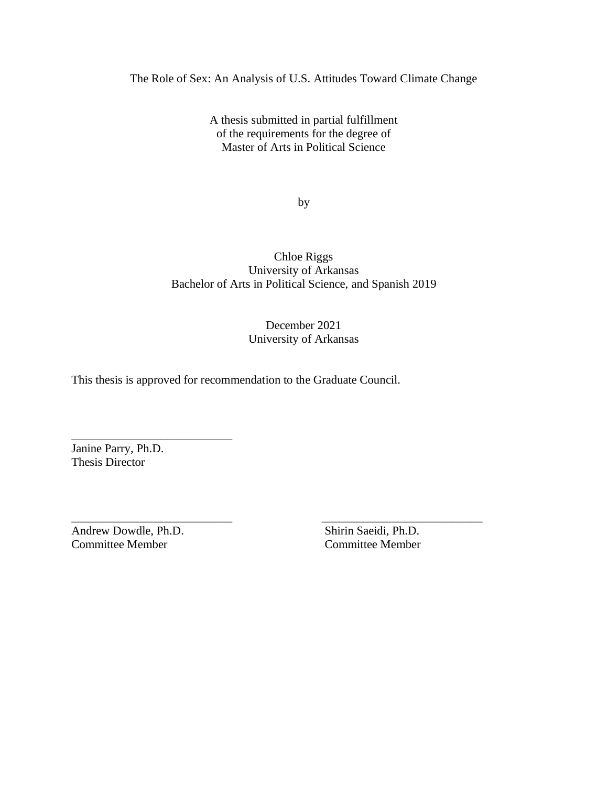The Role of Sex: An Analysis of U.S. Attitudes Toward Climate Change

A thesis submitted in partial fulfillment of the requirements for the degree of Master of Arts in Political Science

by

Chloe Riggs University of Arkansas Bachelor of Arts in Political Science, and Spanish 2019

## December 2021 University of Arkansas

\_\_\_\_\_\_\_\_\_\_\_\_\_\_\_\_\_\_\_\_\_\_\_\_\_\_\_ \_\_\_\_\_\_\_\_\_\_\_\_\_\_\_\_\_\_\_\_\_\_\_\_\_\_\_

This thesis is approved for recommendation to the Graduate Council.

Janine Parry, Ph.D. Thesis Director

\_\_\_\_\_\_\_\_\_\_\_\_\_\_\_\_\_\_\_\_\_\_\_\_\_\_\_

Andrew Dowdle, Ph.D. Shirin Saeidi, Ph.D. Committee Member Committee Member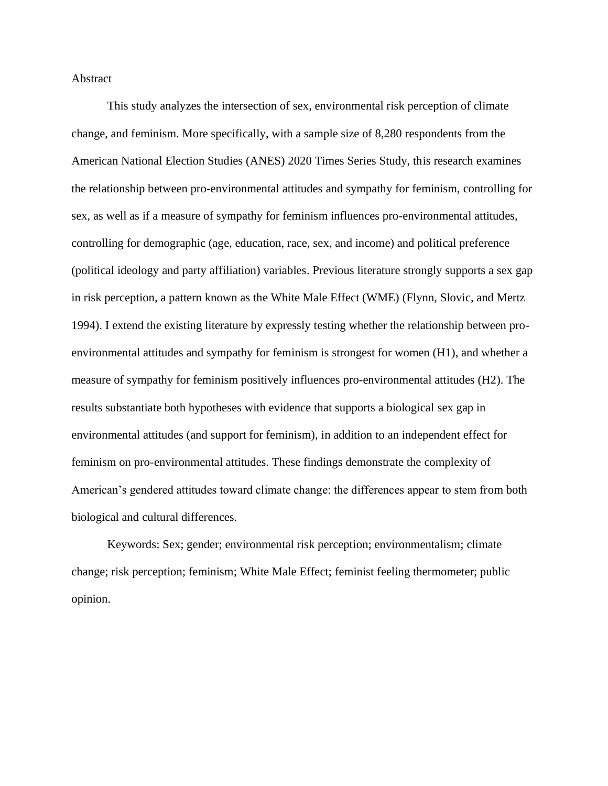#### Abstract

This study analyzes the intersection of sex, environmental risk perception of climate change, and feminism. More specifically, with a sample size of 8,280 respondents from the American National Election Studies (ANES) 2020 Times Series Study, this research examines the relationship between pro-environmental attitudes and sympathy for feminism, controlling for sex, as well as if a measure of sympathy for feminism influences pro-environmental attitudes, controlling for demographic (age, education, race, sex, and income) and political preference (political ideology and party affiliation) variables. Previous literature strongly supports a sex gap in risk perception, a pattern known as the White Male Effect (WME) (Flynn, Slovic, and Mertz 1994). I extend the existing literature by expressly testing whether the relationship between proenvironmental attitudes and sympathy for feminism is strongest for women (H1), and whether a measure of sympathy for feminism positively influences pro-environmental attitudes (H2). The results substantiate both hypotheses with evidence that supports a biological sex gap in environmental attitudes (and support for feminism), in addition to an independent effect for feminism on pro-environmental attitudes. These findings demonstrate the complexity of American's gendered attitudes toward climate change: the differences appear to stem from both biological and cultural differences.

Keywords: Sex; gender; environmental risk perception; environmentalism; climate change; risk perception; feminism; White Male Effect; feminist feeling thermometer; public opinion.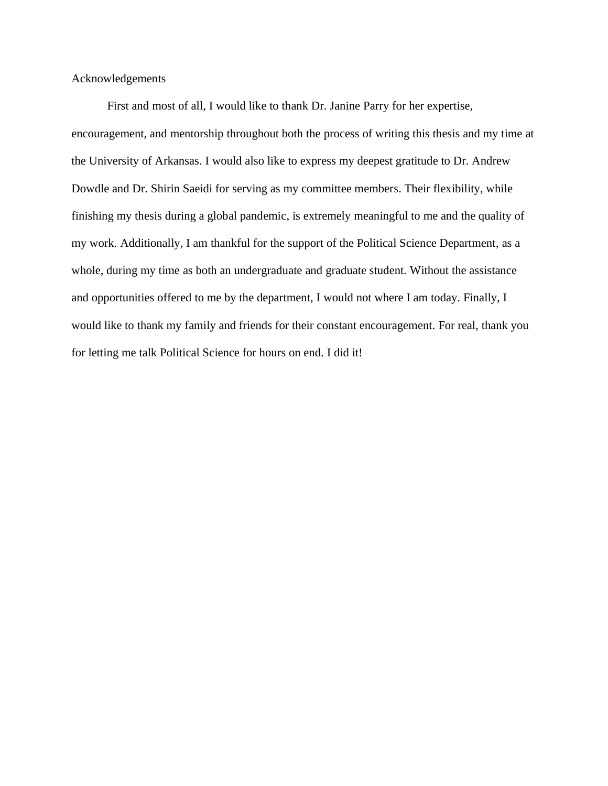Acknowledgements

First and most of all, I would like to thank Dr. Janine Parry for her expertise, encouragement, and mentorship throughout both the process of writing this thesis and my time at the University of Arkansas. I would also like to express my deepest gratitude to Dr. Andrew Dowdle and Dr. Shirin Saeidi for serving as my committee members. Their flexibility, while finishing my thesis during a global pandemic, is extremely meaningful to me and the quality of my work. Additionally, I am thankful for the support of the Political Science Department, as a whole, during my time as both an undergraduate and graduate student. Without the assistance and opportunities offered to me by the department, I would not where I am today. Finally, I would like to thank my family and friends for their constant encouragement. For real, thank you for letting me talk Political Science for hours on end. I did it!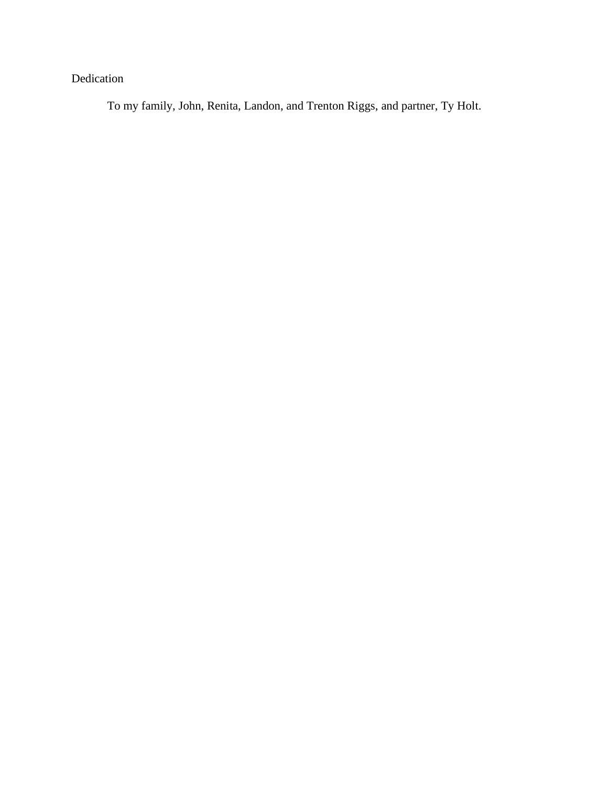# Dedication

To my family, John, Renita, Landon, and Trenton Riggs, and partner, Ty Holt.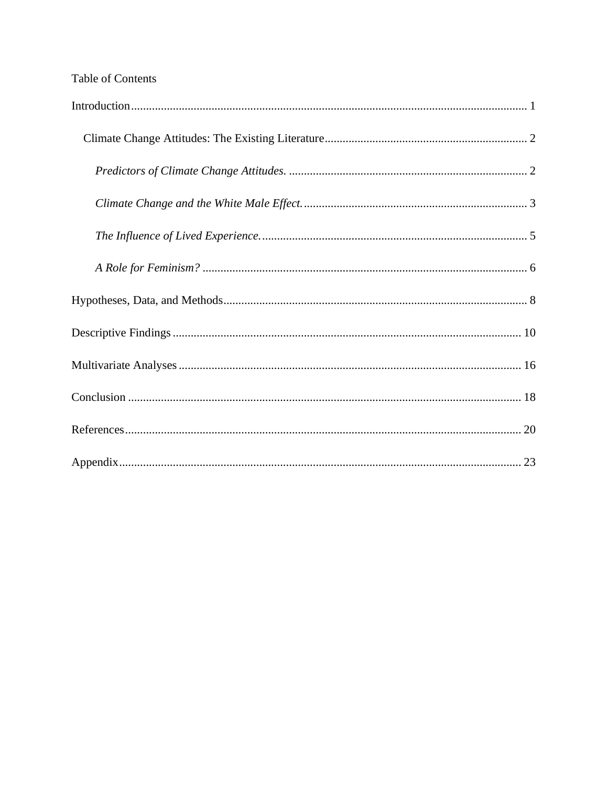# Table of Contents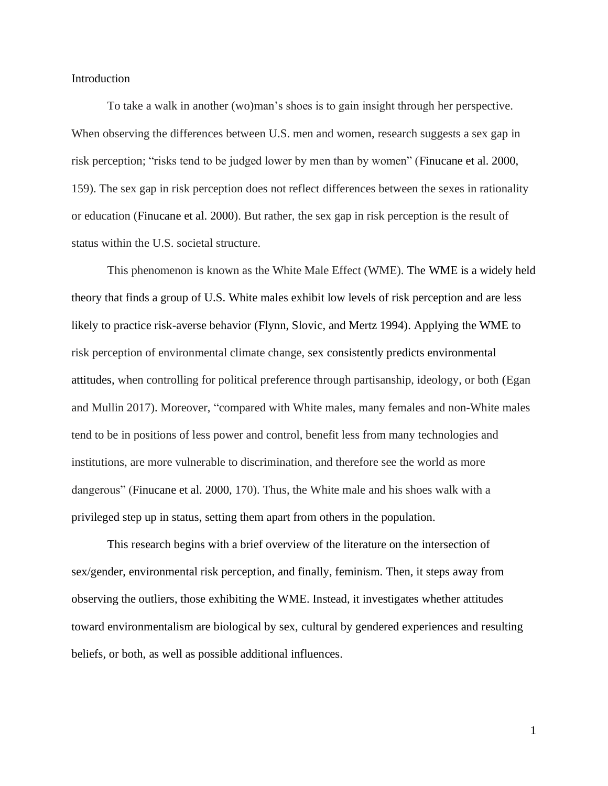#### <span id="page-6-0"></span>Introduction

To take a walk in another (wo)man's shoes is to gain insight through her perspective. When observing the differences between U.S. men and women, research suggests a sex gap in risk perception; "risks tend to be judged lower by men than by women" (Finucane et al. 2000, 159). The sex gap in risk perception does not reflect differences between the sexes in rationality or education (Finucane et al. 2000). But rather, the sex gap in risk perception is the result of status within the U.S. societal structure.

This phenomenon is known as the White Male Effect (WME). The WME is a widely held theory that finds a group of U.S. White males exhibit low levels of risk perception and are less likely to practice risk-averse behavior (Flynn, Slovic, and Mertz 1994). Applying the WME to risk perception of environmental climate change, sex consistently predicts environmental attitudes, when controlling for political preference through partisanship, ideology, or both (Egan and Mullin 2017). Moreover, "compared with White males, many females and non-White males tend to be in positions of less power and control, benefit less from many technologies and institutions, are more vulnerable to discrimination, and therefore see the world as more dangerous" (Finucane et al. 2000, 170). Thus, the White male and his shoes walk with a privileged step up in status, setting them apart from others in the population.

This research begins with a brief overview of the literature on the intersection of sex/gender, environmental risk perception, and finally, feminism. Then, it steps away from observing the outliers, those exhibiting the WME. Instead, it investigates whether attitudes toward environmentalism are biological by sex, cultural by gendered experiences and resulting beliefs, or both, as well as possible additional influences.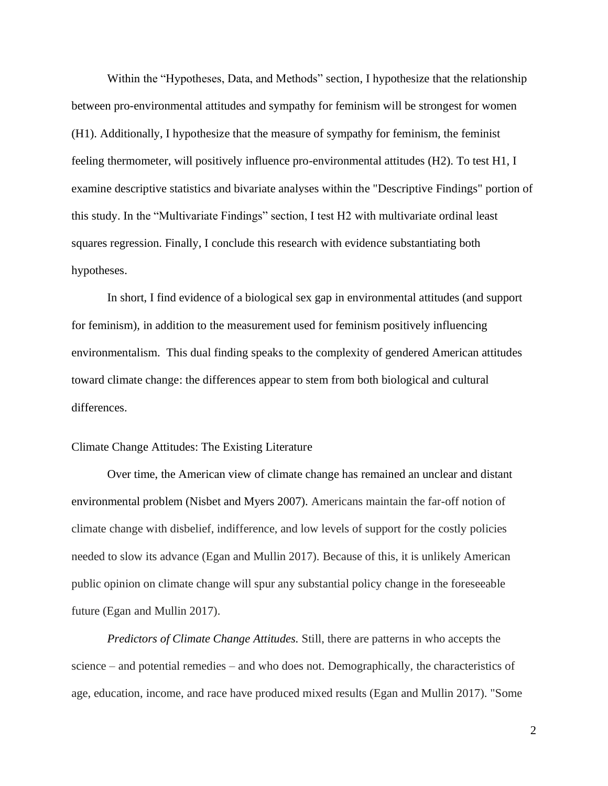Within the "Hypotheses, Data, and Methods" section, I hypothesize that the relationship between pro-environmental attitudes and sympathy for feminism will be strongest for women (H1). Additionally, I hypothesize that the measure of sympathy for feminism, the feminist feeling thermometer, will positively influence pro-environmental attitudes (H2). To test H1, I examine descriptive statistics and bivariate analyses within the "Descriptive Findings" portion of this study. In the "Multivariate Findings" section, I test H2 with multivariate ordinal least squares regression. Finally, I conclude this research with evidence substantiating both hypotheses.

In short, I find evidence of a biological sex gap in environmental attitudes (and support for feminism), in addition to the measurement used for feminism positively influencing environmentalism. This dual finding speaks to the complexity of gendered American attitudes toward climate change: the differences appear to stem from both biological and cultural differences.

### <span id="page-7-0"></span>Climate Change Attitudes: The Existing Literature

Over time, the American view of climate change has remained an unclear and distant environmental problem (Nisbet and Myers 2007). Americans maintain the far-off notion of climate change with disbelief, indifference, and low levels of support for the costly policies needed to slow its advance (Egan and Mullin 2017). Because of this, it is unlikely American public opinion on climate change will spur any substantial policy change in the foreseeable future (Egan and Mullin 2017).

<span id="page-7-1"></span>*Predictors of Climate Change Attitudes.* Still, there are patterns in who accepts the science – and potential remedies – and who does not. Demographically, the characteristics of age, education, income, and race have produced mixed results (Egan and Mullin 2017). "Some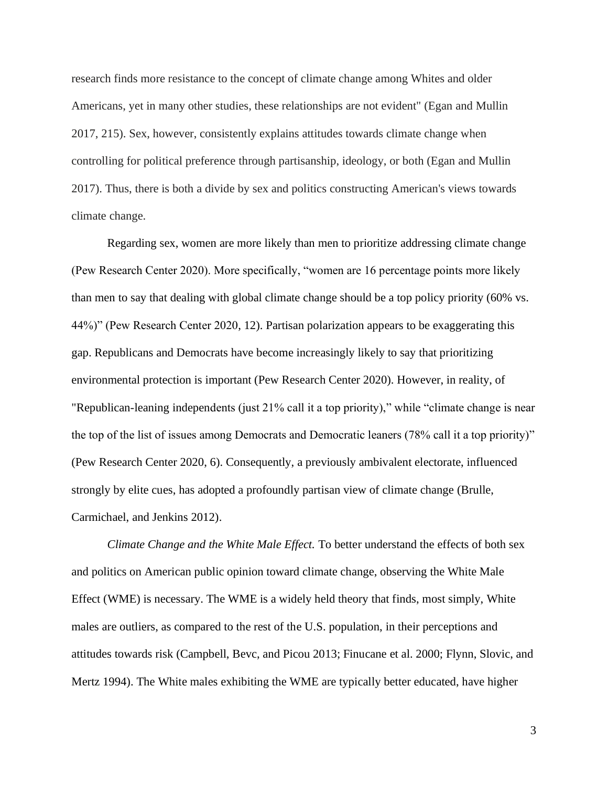research finds more resistance to the concept of climate change among Whites and older Americans, yet in many other studies, these relationships are not evident" (Egan and Mullin 2017, 215). Sex, however, consistently explains attitudes towards climate change when controlling for political preference through partisanship, ideology, or both (Egan and Mullin 2017). Thus, there is both a divide by sex and politics constructing American's views towards climate change.

Regarding sex, women are more likely than men to prioritize addressing climate change (Pew Research Center 2020). More specifically, "women are 16 percentage points more likely than men to say that dealing with global climate change should be a top policy priority (60% vs. 44%)" (Pew Research Center 2020, 12). Partisan polarization appears to be exaggerating this gap. Republicans and Democrats have become increasingly likely to say that prioritizing environmental protection is important (Pew Research Center 2020). However, in reality, of "Republican-leaning independents (just 21% call it a top priority)," while "climate change is near the top of the list of issues among Democrats and Democratic leaners (78% call it a top priority)" (Pew Research Center 2020, 6). Consequently, a previously ambivalent electorate, influenced strongly by elite cues, has adopted a profoundly partisan view of climate change (Brulle, Carmichael, and Jenkins 2012).

<span id="page-8-0"></span>*Climate Change and the White Male Effect.* To better understand the effects of both sex and politics on American public opinion toward climate change, observing the White Male Effect (WME) is necessary. The WME is a widely held theory that finds, most simply, White males are outliers, as compared to the rest of the U.S. population, in their perceptions and attitudes towards risk (Campbell, Bevc, and Picou 2013; Finucane et al. 2000; Flynn, Slovic, and Mertz 1994). The White males exhibiting the WME are typically better educated, have higher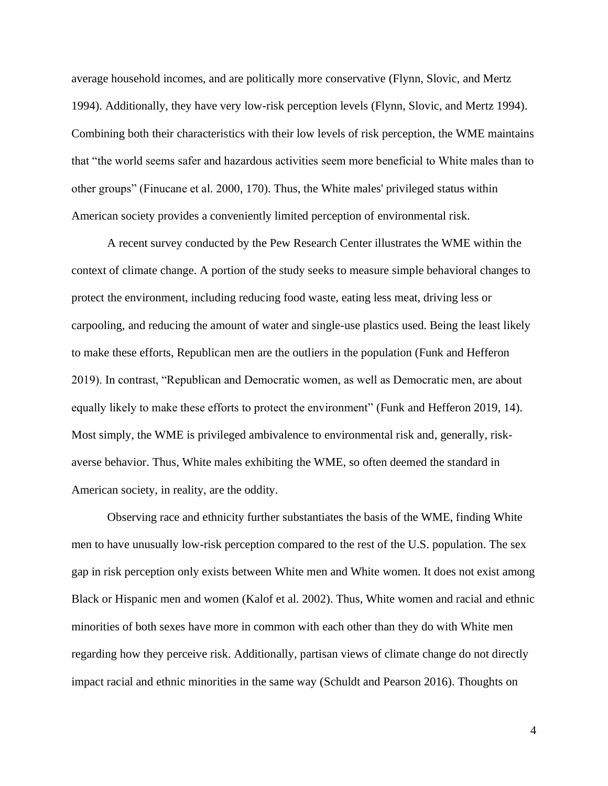average household incomes, and are politically more conservative (Flynn, Slovic, and Mertz 1994). Additionally, they have very low-risk perception levels (Flynn, Slovic, and Mertz 1994). Combining both their characteristics with their low levels of risk perception, the WME maintains that "the world seems safer and hazardous activities seem more beneficial to White males than to other groups" (Finucane et al. 2000, 170). Thus, the White males' privileged status within American society provides a conveniently limited perception of environmental risk.

A recent survey conducted by the Pew Research Center illustrates the WME within the context of climate change. A portion of the study seeks to measure simple behavioral changes to protect the environment, including reducing food waste, eating less meat, driving less or carpooling, and reducing the amount of water and single-use plastics used. Being the least likely to make these efforts, Republican men are the outliers in the population (Funk and Hefferon 2019). In contrast, "Republican and Democratic women, as well as Democratic men, are about equally likely to make these efforts to protect the environment" (Funk and Hefferon 2019, 14). Most simply, the WME is privileged ambivalence to environmental risk and, generally, riskaverse behavior. Thus, White males exhibiting the WME, so often deemed the standard in American society, in reality, are the oddity.

Observing race and ethnicity further substantiates the basis of the WME, finding White men to have unusually low-risk perception compared to the rest of the U.S. population. The sex gap in risk perception only exists between White men and White women. It does not exist among Black or Hispanic men and women (Kalof et al. 2002). Thus, White women and racial and ethnic minorities of both sexes have more in common with each other than they do with White men regarding how they perceive risk. Additionally, partisan views of climate change do not directly impact racial and ethnic minorities in the same way (Schuldt and Pearson 2016). Thoughts on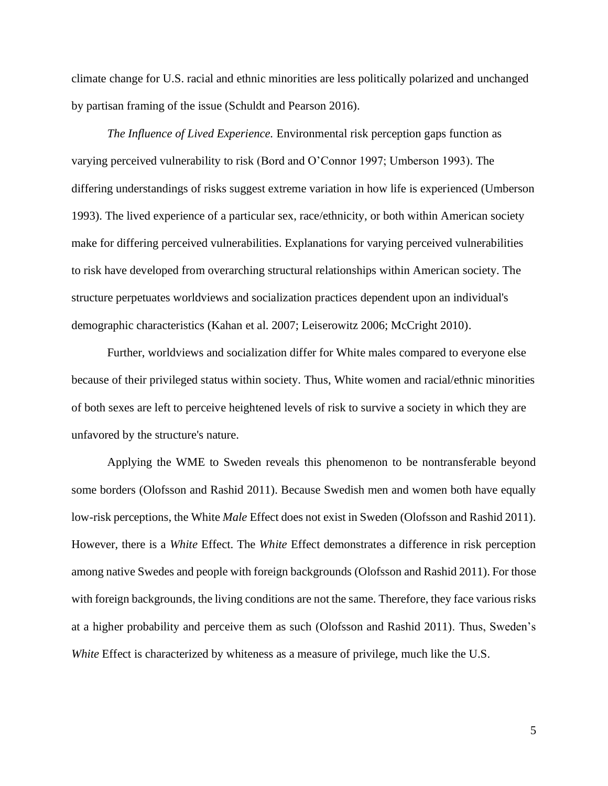climate change for U.S. racial and ethnic minorities are less politically polarized and unchanged by partisan framing of the issue (Schuldt and Pearson 2016).

<span id="page-10-0"></span>*The Influence of Lived Experience.* Environmental risk perception gaps function as varying perceived vulnerability to risk (Bord and O'Connor 1997; Umberson 1993). The differing understandings of risks suggest extreme variation in how life is experienced (Umberson 1993). The lived experience of a particular sex, race/ethnicity, or both within American society make for differing perceived vulnerabilities. Explanations for varying perceived vulnerabilities to risk have developed from overarching structural relationships within American society. The structure perpetuates worldviews and socialization practices dependent upon an individual's demographic characteristics (Kahan et al. 2007; Leiserowitz 2006; McCright 2010).

Further, worldviews and socialization differ for White males compared to everyone else because of their privileged status within society. Thus, White women and racial/ethnic minorities of both sexes are left to perceive heightened levels of risk to survive a society in which they are unfavored by the structure's nature.

Applying the WME to Sweden reveals this phenomenon to be nontransferable beyond some borders (Olofsson and Rashid 2011). Because Swedish men and women both have equally low-risk perceptions, the White *Male* Effect does not exist in Sweden (Olofsson and Rashid 2011). However, there is a *White* Effect. The *White* Effect demonstrates a difference in risk perception among native Swedes and people with foreign backgrounds (Olofsson and Rashid 2011). For those with foreign backgrounds, the living conditions are not the same. Therefore, they face various risks at a higher probability and perceive them as such (Olofsson and Rashid 2011). Thus, Sweden's *White* Effect is characterized by whiteness as a measure of privilege, much like the U.S.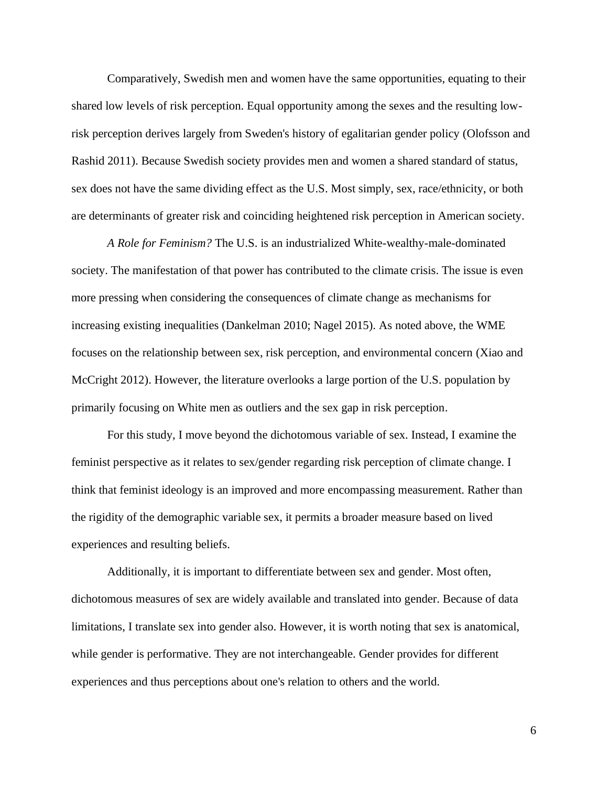Comparatively, Swedish men and women have the same opportunities, equating to their shared low levels of risk perception. Equal opportunity among the sexes and the resulting lowrisk perception derives largely from Sweden's history of egalitarian gender policy (Olofsson and Rashid 2011). Because Swedish society provides men and women a shared standard of status, sex does not have the same dividing effect as the U.S. Most simply, sex, race/ethnicity, or both are determinants of greater risk and coinciding heightened risk perception in American society.

<span id="page-11-0"></span>*A Role for Feminism?* The U.S. is an industrialized White-wealthy-male-dominated society. The manifestation of that power has contributed to the climate crisis. The issue is even more pressing when considering the consequences of climate change as mechanisms for increasing existing inequalities (Dankelman 2010; Nagel 2015). As noted above, the WME focuses on the relationship between sex, risk perception, and environmental concern (Xiao and McCright 2012). However, the literature overlooks a large portion of the U.S. population by primarily focusing on White men as outliers and the sex gap in risk perception.

For this study, I move beyond the dichotomous variable of sex. Instead, I examine the feminist perspective as it relates to sex/gender regarding risk perception of climate change. I think that feminist ideology is an improved and more encompassing measurement. Rather than the rigidity of the demographic variable sex, it permits a broader measure based on lived experiences and resulting beliefs.

Additionally, it is important to differentiate between sex and gender. Most often, dichotomous measures of sex are widely available and translated into gender. Because of data limitations, I translate sex into gender also. However, it is worth noting that sex is anatomical, while gender is performative. They are not interchangeable. Gender provides for different experiences and thus perceptions about one's relation to others and the world.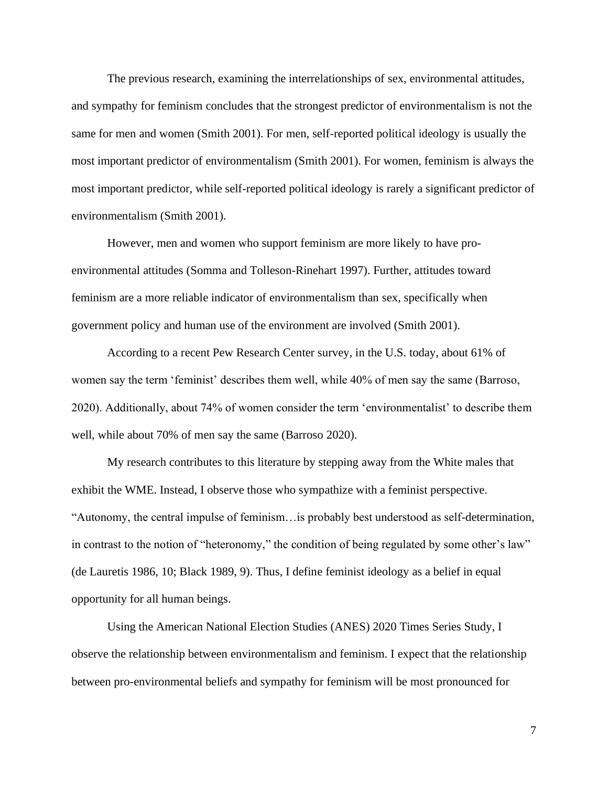The previous research, examining the interrelationships of sex, environmental attitudes, and sympathy for feminism concludes that the strongest predictor of environmentalism is not the same for men and women (Smith 2001). For men, self-reported political ideology is usually the most important predictor of environmentalism (Smith 2001). For women, feminism is always the most important predictor, while self-reported political ideology is rarely a significant predictor of environmentalism (Smith 2001).

However, men and women who support feminism are more likely to have proenvironmental attitudes (Somma and Tolleson-Rinehart 1997). Further, attitudes toward feminism are a more reliable indicator of environmentalism than sex, specifically when government policy and human use of the environment are involved (Smith 2001).

According to a recent Pew Research Center survey, in the U.S. today, about 61% of women say the term 'feminist' describes them well, while 40% of men say the same (Barroso, 2020). Additionally, about 74% of women consider the term 'environmentalist' to describe them well, while about 70% of men say the same (Barroso 2020).

My research contributes to this literature by stepping away from the White males that exhibit the WME. Instead, I observe those who sympathize with a feminist perspective. "Autonomy, the central impulse of feminism…is probably best understood as self-determination, in contrast to the notion of "heteronomy," the condition of being regulated by some other's law" (de Lauretis 1986, 10; Black 1989, 9). Thus, I define feminist ideology as a belief in equal opportunity for all human beings.

Using the American National Election Studies (ANES) 2020 Times Series Study, I observe the relationship between environmentalism and feminism. I expect that the relationship between pro-environmental beliefs and sympathy for feminism will be most pronounced for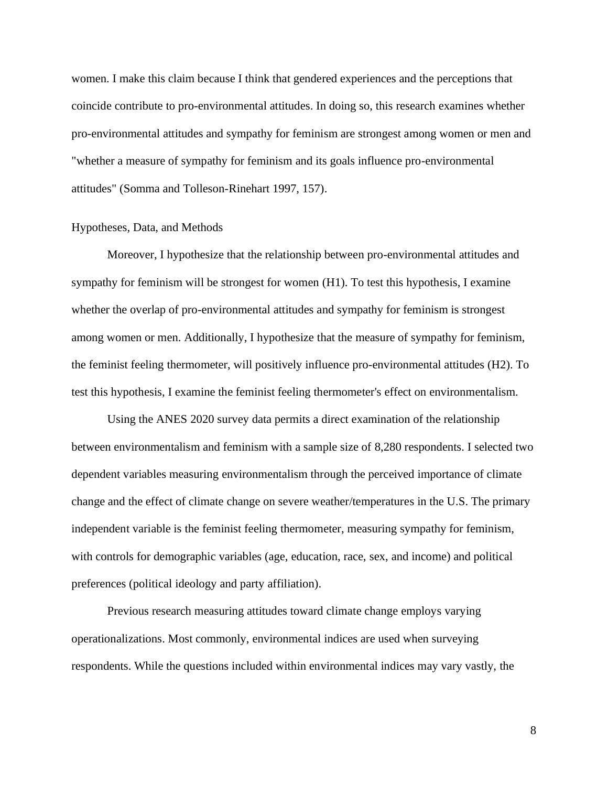women. I make this claim because I think that gendered experiences and the perceptions that coincide contribute to pro-environmental attitudes. In doing so, this research examines whether pro-environmental attitudes and sympathy for feminism are strongest among women or men and "whether a measure of sympathy for feminism and its goals influence pro-environmental attitudes" (Somma and Tolleson-Rinehart 1997, 157).

#### <span id="page-13-0"></span>Hypotheses, Data, and Methods

Moreover, I hypothesize that the relationship between pro-environmental attitudes and sympathy for feminism will be strongest for women (H1). To test this hypothesis, I examine whether the overlap of pro-environmental attitudes and sympathy for feminism is strongest among women or men. Additionally, I hypothesize that the measure of sympathy for feminism, the feminist feeling thermometer, will positively influence pro-environmental attitudes (H2). To test this hypothesis, I examine the feminist feeling thermometer's effect on environmentalism.

Using the ANES 2020 survey data permits a direct examination of the relationship between environmentalism and feminism with a sample size of 8,280 respondents. I selected two dependent variables measuring environmentalism through the perceived importance of climate change and the effect of climate change on severe weather/temperatures in the U.S. The primary independent variable is the feminist feeling thermometer, measuring sympathy for feminism, with controls for demographic variables (age, education, race, sex, and income) and political preferences (political ideology and party affiliation).

Previous research measuring attitudes toward climate change employs varying operationalizations. Most commonly, environmental indices are used when surveying respondents. While the questions included within environmental indices may vary vastly, the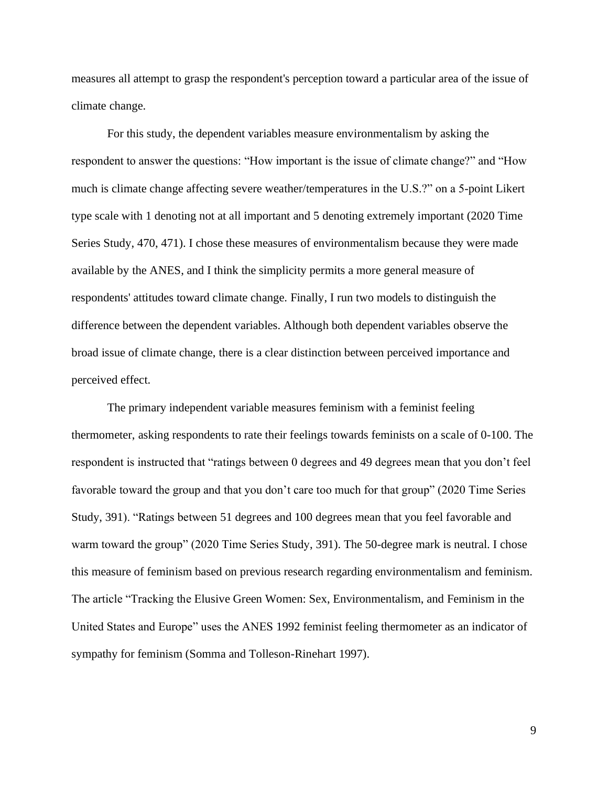measures all attempt to grasp the respondent's perception toward a particular area of the issue of climate change.

For this study, the dependent variables measure environmentalism by asking the respondent to answer the questions: "How important is the issue of climate change?" and "How much is climate change affecting severe weather/temperatures in the U.S.?" on a 5-point Likert type scale with 1 denoting not at all important and 5 denoting extremely important (2020 Time Series Study, 470, 471). I chose these measures of environmentalism because they were made available by the ANES, and I think the simplicity permits a more general measure of respondents' attitudes toward climate change. Finally, I run two models to distinguish the difference between the dependent variables. Although both dependent variables observe the broad issue of climate change, there is a clear distinction between perceived importance and perceived effect.

The primary independent variable measures feminism with a feminist feeling thermometer, asking respondents to rate their feelings towards feminists on a scale of 0-100. The respondent is instructed that "ratings between 0 degrees and 49 degrees mean that you don't feel favorable toward the group and that you don't care too much for that group" (2020 Time Series Study, 391). "Ratings between 51 degrees and 100 degrees mean that you feel favorable and warm toward the group" (2020 Time Series Study, 391). The 50-degree mark is neutral. I chose this measure of feminism based on previous research regarding environmentalism and feminism. The article "Tracking the Elusive Green Women: Sex, Environmentalism, and Feminism in the United States and Europe" uses the ANES 1992 feminist feeling thermometer as an indicator of sympathy for feminism (Somma and Tolleson-Rinehart 1997).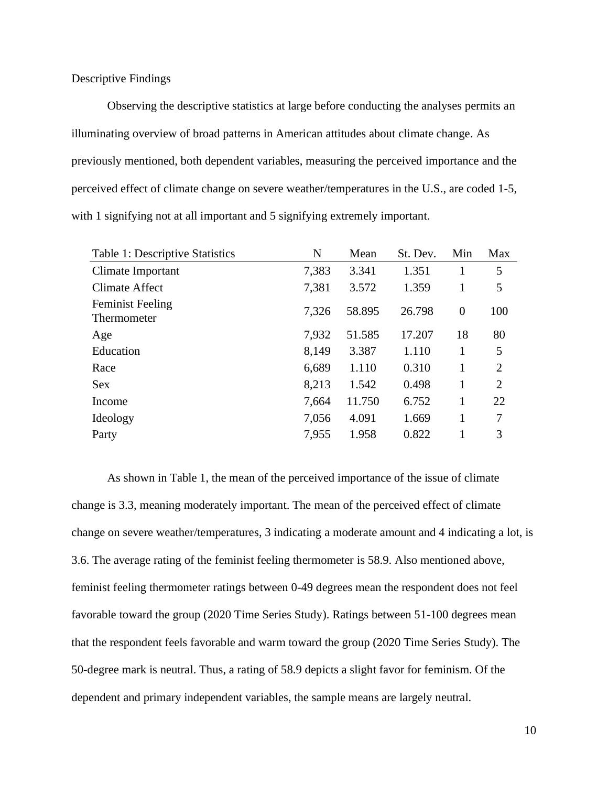<span id="page-15-0"></span>Descriptive Findings

Observing the descriptive statistics at large before conducting the analyses permits an illuminating overview of broad patterns in American attitudes about climate change. As previously mentioned, both dependent variables, measuring the perceived importance and the perceived effect of climate change on severe weather/temperatures in the U.S., are coded 1-5, with 1 signifying not at all important and 5 signifying extremely important.

| N     | Mean   | St. Dev. | Min              | Max            |
|-------|--------|----------|------------------|----------------|
| 7,383 | 3.341  | 1.351    | 1                | 5              |
| 7,381 | 3.572  | 1.359    | 1                | 5              |
| 7,326 | 58.895 | 26.798   | $\boldsymbol{0}$ | 100            |
| 7,932 | 51.585 | 17.207   | 18               | 80             |
| 8,149 | 3.387  | 1.110    | 1                | 5              |
| 6,689 | 1.110  | 0.310    | 1                | $\overline{2}$ |
| 8,213 | 1.542  | 0.498    | 1                | $\overline{2}$ |
| 7,664 | 11.750 | 6.752    | 1                | 22             |
| 7,056 | 4.091  | 1.669    | 1                | 7              |
| 7,955 | 1.958  | 0.822    | 1                | 3              |
|       |        |          |                  |                |

As shown in Table 1, the mean of the perceived importance of the issue of climate change is 3.3, meaning moderately important. The mean of the perceived effect of climate change on severe weather/temperatures, 3 indicating a moderate amount and 4 indicating a lot, is 3.6. The average rating of the feminist feeling thermometer is 58.9. Also mentioned above, feminist feeling thermometer ratings between 0-49 degrees mean the respondent does not feel favorable toward the group (2020 Time Series Study). Ratings between 51-100 degrees mean that the respondent feels favorable and warm toward the group (2020 Time Series Study). The 50-degree mark is neutral. Thus, a rating of 58.9 depicts a slight favor for feminism. Of the dependent and primary independent variables, the sample means are largely neutral.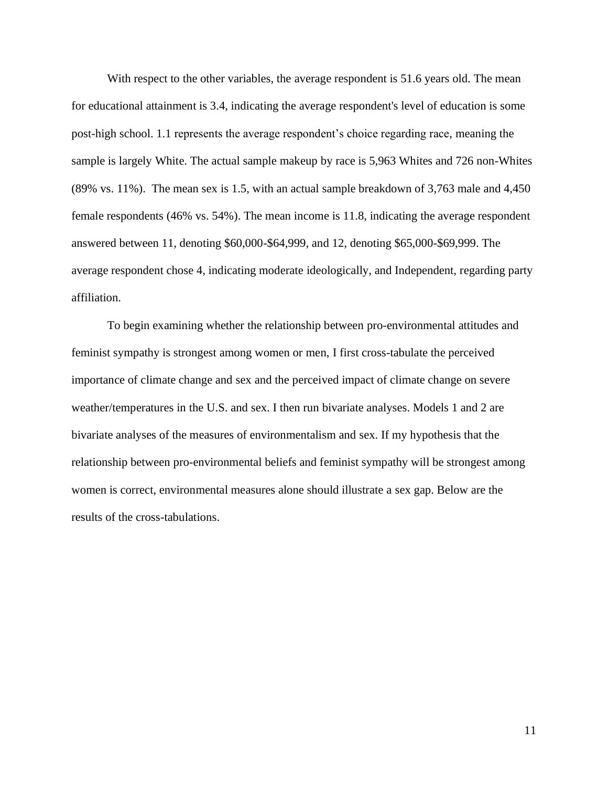With respect to the other variables, the average respondent is 51.6 years old. The mean for educational attainment is 3.4, indicating the average respondent's level of education is some post-high school. 1.1 represents the average respondent's choice regarding race, meaning the sample is largely White. The actual sample makeup by race is 5,963 Whites and 726 non-Whites (89% vs. 11%). The mean sex is 1.5, with an actual sample breakdown of 3,763 male and 4,450 female respondents (46% vs. 54%). The mean income is 11.8, indicating the average respondent answered between 11, denoting \$60,000-\$64,999, and 12, denoting \$65,000-\$69,999. The average respondent chose 4, indicating moderate ideologically, and Independent, regarding party affiliation.

To begin examining whether the relationship between pro-environmental attitudes and feminist sympathy is strongest among women or men, I first cross-tabulate the perceived importance of climate change and sex and the perceived impact of climate change on severe weather/temperatures in the U.S. and sex. I then run bivariate analyses. Models 1 and 2 are bivariate analyses of the measures of environmentalism and sex. If my hypothesis that the relationship between pro-environmental beliefs and feminist sympathy will be strongest among women is correct, environmental measures alone should illustrate a sex gap. Below are the results of the cross-tabulations.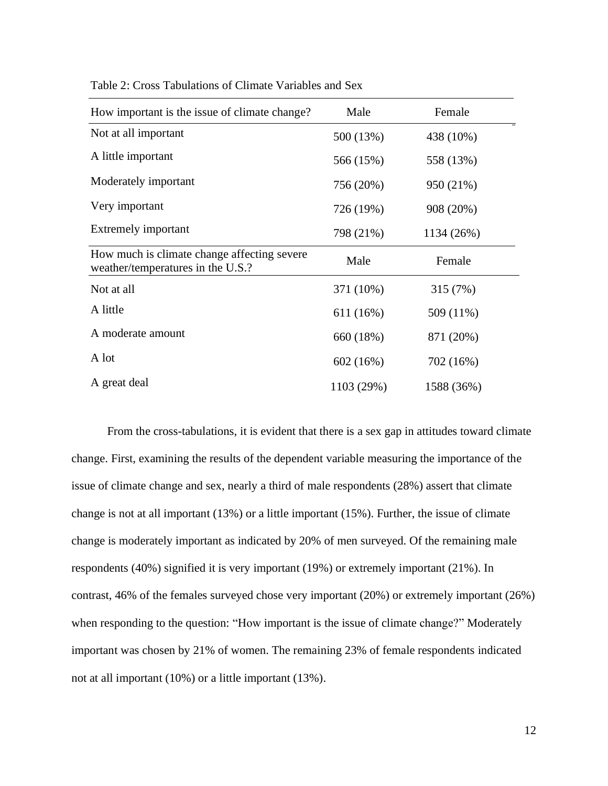| How important is the issue of climate change?                                    | Male       | Female     |
|----------------------------------------------------------------------------------|------------|------------|
| Not at all important                                                             | 500 (13%)  | 438 (10%)  |
| A little important                                                               | 566 (15%)  | 558 (13%)  |
| Moderately important                                                             | 756 (20%)  | 950 (21%)  |
| Very important                                                                   | 726 (19%)  | 908 (20%)  |
| Extremely important                                                              | 798 (21%)  | 1134 (26%) |
| How much is climate change affecting severe<br>weather/temperatures in the U.S.? | Male       | Female     |
| Not at all                                                                       | 371 (10%)  | 315 (7%)   |
| A little                                                                         | 611 (16%)  | 509 (11%)  |
| A moderate amount                                                                | 660 (18%)  | 871 (20%)  |
| A lot                                                                            | 602(16%)   | 702 (16%)  |
| A great deal                                                                     | 1103 (29%) | 1588 (36%) |

Table 2: Cross Tabulations of Climate Variables and Sex

From the cross-tabulations, it is evident that there is a sex gap in attitudes toward climate change. First, examining the results of the dependent variable measuring the importance of the issue of climate change and sex, nearly a third of male respondents (28%) assert that climate change is not at all important (13%) or a little important (15%). Further, the issue of climate change is moderately important as indicated by 20% of men surveyed. Of the remaining male respondents (40%) signified it is very important (19%) or extremely important (21%). In contrast, 46% of the females surveyed chose very important (20%) or extremely important (26%) when responding to the question: "How important is the issue of climate change?" Moderately important was chosen by 21% of women. The remaining 23% of female respondents indicated not at all important (10%) or a little important (13%).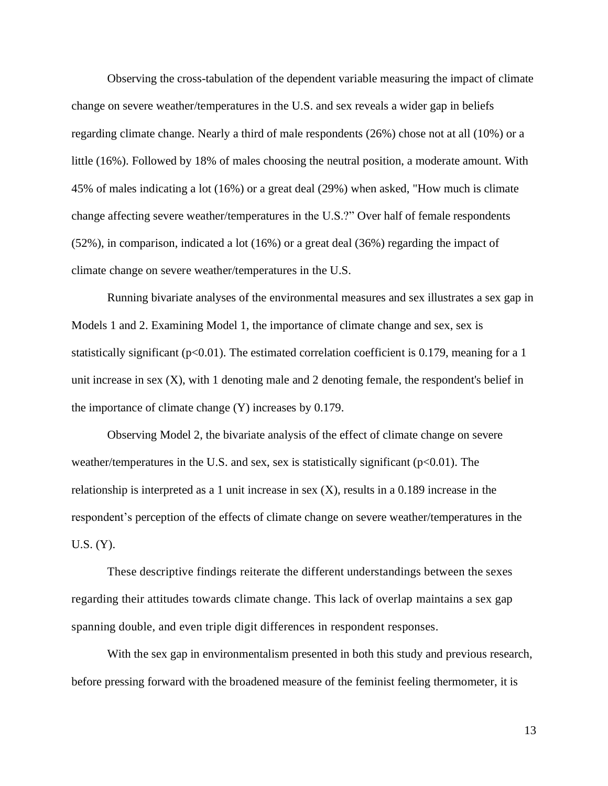Observing the cross-tabulation of the dependent variable measuring the impact of climate change on severe weather/temperatures in the U.S. and sex reveals a wider gap in beliefs regarding climate change. Nearly a third of male respondents (26%) chose not at all (10%) or a little (16%). Followed by 18% of males choosing the neutral position, a moderate amount. With 45% of males indicating a lot (16%) or a great deal (29%) when asked, "How much is climate change affecting severe weather/temperatures in the U.S.?" Over half of female respondents  $(52\%)$ , in comparison, indicated a lot  $(16\%)$  or a great deal  $(36\%)$  regarding the impact of climate change on severe weather/temperatures in the U.S.

Running bivariate analyses of the environmental measures and sex illustrates a sex gap in Models 1 and 2. Examining Model 1, the importance of climate change and sex, sex is statistically significant ( $p<0.01$ ). The estimated correlation coefficient is 0.179, meaning for a 1 unit increase in sex  $(X)$ , with 1 denoting male and 2 denoting female, the respondent's belief in the importance of climate change (Y) increases by 0.179.

Observing Model 2, the bivariate analysis of the effect of climate change on severe weather/temperatures in the U.S. and sex, sex is statistically significant ( $p<0.01$ ). The relationship is interpreted as a 1 unit increase in sex  $(X)$ , results in a 0.189 increase in the respondent's perception of the effects of climate change on severe weather/temperatures in the U.S. (Y).

These descriptive findings reiterate the different understandings between the sexes regarding their attitudes towards climate change. This lack of overlap maintains a sex gap spanning double, and even triple digit differences in respondent responses.

With the sex gap in environmentalism presented in both this study and previous research, before pressing forward with the broadened measure of the feminist feeling thermometer, it is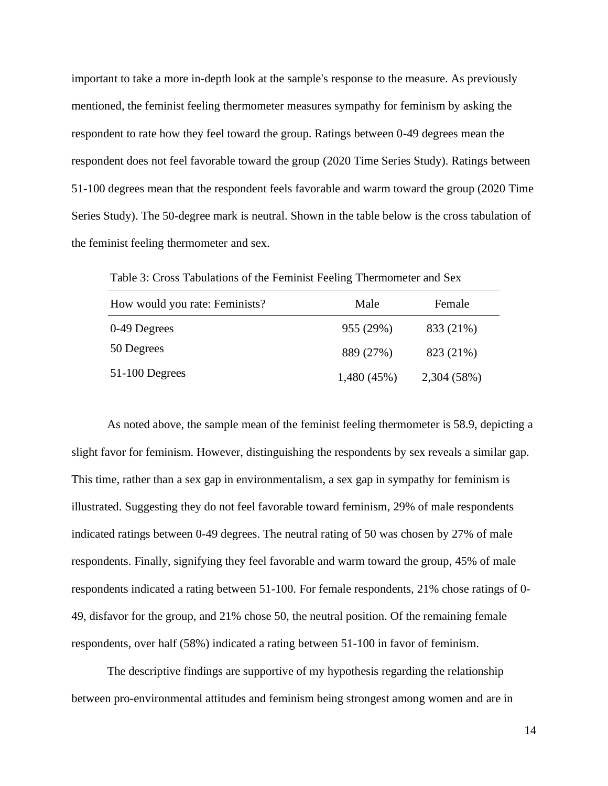important to take a more in-depth look at the sample's response to the measure. As previously mentioned, the feminist feeling thermometer measures sympathy for feminism by asking the respondent to rate how they feel toward the group. Ratings between 0-49 degrees mean the respondent does not feel favorable toward the group (2020 Time Series Study). Ratings between 51-100 degrees mean that the respondent feels favorable and warm toward the group (2020 Time Series Study). The 50-degree mark is neutral. Shown in the table below is the cross tabulation of the feminist feeling thermometer and sex.

| How would you rate: Feminists? | Male       | Female      |  |
|--------------------------------|------------|-------------|--|
| 0-49 Degrees                   | 955 (29%)  | 833 (21%)   |  |
| 50 Degrees                     | 889 (27%)  | 823 (21%)   |  |
| $51-100$ Degrees               | 1,480(45%) | 2,304 (58%) |  |

Table 3: Cross Tabulations of the Feminist Feeling Thermometer and Sex

As noted above, the sample mean of the feminist feeling thermometer is 58.9, depicting a slight favor for feminism. However, distinguishing the respondents by sex reveals a similar gap. This time, rather than a sex gap in environmentalism, a sex gap in sympathy for feminism is illustrated. Suggesting they do not feel favorable toward feminism, 29% of male respondents indicated ratings between 0-49 degrees. The neutral rating of 50 was chosen by 27% of male respondents. Finally, signifying they feel favorable and warm toward the group, 45% of male respondents indicated a rating between 51-100. For female respondents, 21% chose ratings of 0- 49, disfavor for the group, and 21% chose 50, the neutral position. Of the remaining female respondents, over half (58%) indicated a rating between 51-100 in favor of feminism.

The descriptive findings are supportive of my hypothesis regarding the relationship between pro-environmental attitudes and feminism being strongest among women and are in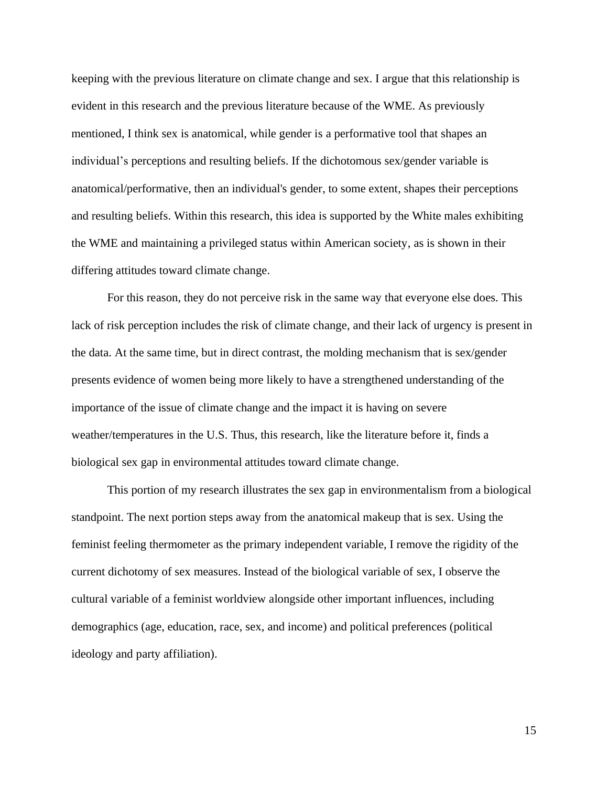keeping with the previous literature on climate change and sex. I argue that this relationship is evident in this research and the previous literature because of the WME. As previously mentioned, I think sex is anatomical, while gender is a performative tool that shapes an individual's perceptions and resulting beliefs. If the dichotomous sex/gender variable is anatomical/performative, then an individual's gender, to some extent, shapes their perceptions and resulting beliefs. Within this research, this idea is supported by the White males exhibiting the WME and maintaining a privileged status within American society, as is shown in their differing attitudes toward climate change.

For this reason, they do not perceive risk in the same way that everyone else does. This lack of risk perception includes the risk of climate change, and their lack of urgency is present in the data. At the same time, but in direct contrast, the molding mechanism that is sex/gender presents evidence of women being more likely to have a strengthened understanding of the importance of the issue of climate change and the impact it is having on severe weather/temperatures in the U.S. Thus, this research, like the literature before it, finds a biological sex gap in environmental attitudes toward climate change.

This portion of my research illustrates the sex gap in environmentalism from a biological standpoint. The next portion steps away from the anatomical makeup that is sex. Using the feminist feeling thermometer as the primary independent variable, I remove the rigidity of the current dichotomy of sex measures. Instead of the biological variable of sex, I observe the cultural variable of a feminist worldview alongside other important influences, including demographics (age, education, race, sex, and income) and political preferences (political ideology and party affiliation).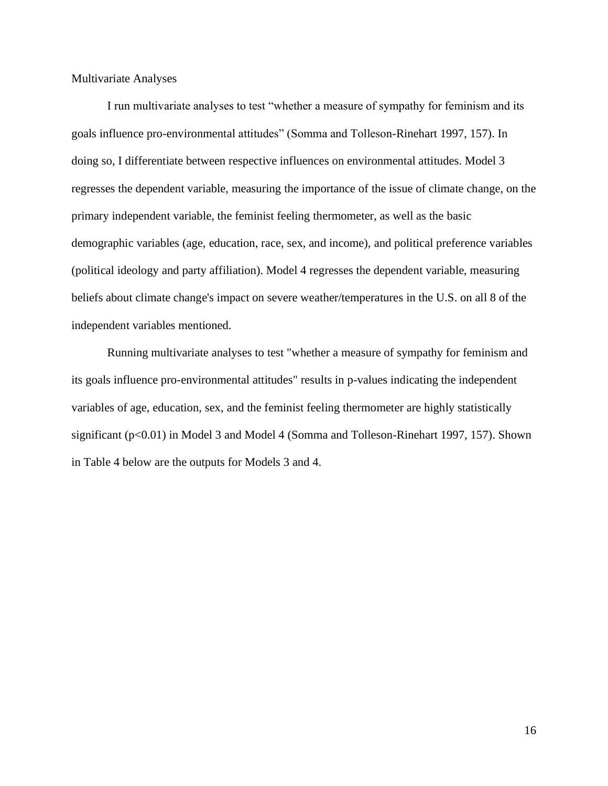<span id="page-21-0"></span>Multivariate Analyses

I run multivariate analyses to test "whether a measure of sympathy for feminism and its goals influence pro-environmental attitudes" (Somma and Tolleson-Rinehart 1997, 157). In doing so, I differentiate between respective influences on environmental attitudes. Model 3 regresses the dependent variable, measuring the importance of the issue of climate change, on the primary independent variable, the feminist feeling thermometer, as well as the basic demographic variables (age, education, race, sex, and income), and political preference variables (political ideology and party affiliation). Model 4 regresses the dependent variable, measuring beliefs about climate change's impact on severe weather/temperatures in the U.S. on all 8 of the independent variables mentioned.

Running multivariate analyses to test "whether a measure of sympathy for feminism and its goals influence pro-environmental attitudes" results in p-values indicating the independent variables of age, education, sex, and the feminist feeling thermometer are highly statistically significant (p<0.01) in Model 3 and Model 4 (Somma and Tolleson-Rinehart 1997, 157). Shown in Table 4 below are the outputs for Models 3 and 4.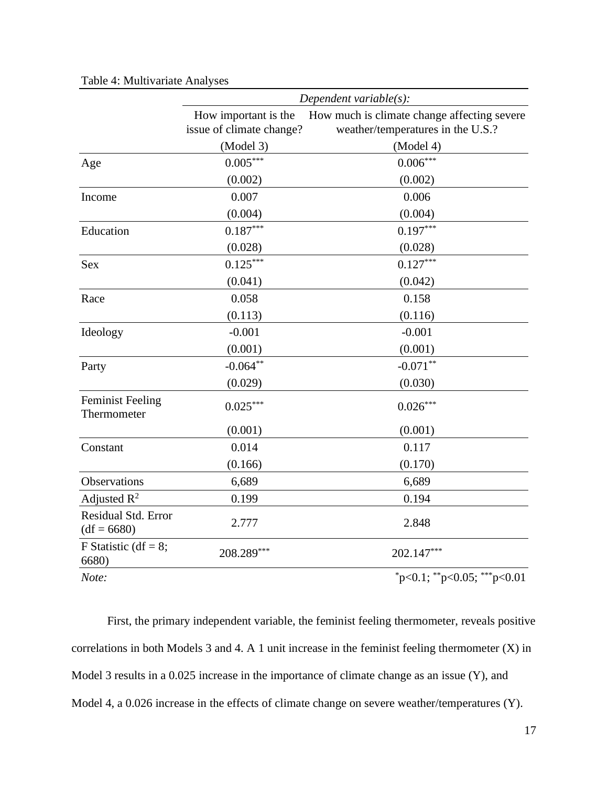|                                        | Dependent variable $(s)$ :                       |                                                                                  |  |
|----------------------------------------|--------------------------------------------------|----------------------------------------------------------------------------------|--|
|                                        | How important is the<br>issue of climate change? | How much is climate change affecting severe<br>weather/temperatures in the U.S.? |  |
|                                        | (Model 3)                                        | (Model 4)                                                                        |  |
| Age                                    | $0.005***$                                       | $0.006***$                                                                       |  |
|                                        | (0.002)                                          | (0.002)                                                                          |  |
| Income                                 | 0.007                                            | 0.006                                                                            |  |
|                                        | (0.004)                                          | (0.004)                                                                          |  |
| Education                              | $0.187***$                                       | $0.197***$                                                                       |  |
|                                        | (0.028)                                          | (0.028)                                                                          |  |
| Sex                                    | $0.125***$                                       | $0.127***$                                                                       |  |
|                                        | (0.041)                                          | (0.042)                                                                          |  |
| Race                                   | 0.058                                            | 0.158                                                                            |  |
|                                        | (0.113)                                          | (0.116)                                                                          |  |
| Ideology                               | $-0.001$                                         | $-0.001$                                                                         |  |
|                                        | (0.001)                                          | (0.001)                                                                          |  |
| Party                                  | $-0.064**$                                       | $-0.071**$                                                                       |  |
|                                        | (0.029)                                          | (0.030)                                                                          |  |
| <b>Feminist Feeling</b><br>Thermometer | $0.025***$                                       | $0.026***$                                                                       |  |
|                                        | (0.001)                                          | (0.001)                                                                          |  |
| Constant                               | 0.014                                            | 0.117                                                                            |  |
|                                        | (0.166)                                          | (0.170)                                                                          |  |
| Observations                           | 6,689                                            | 6,689                                                                            |  |
| Adjusted $R^2$                         | 0.199                                            | 0.194                                                                            |  |
| Residual Std. Error<br>$(df = 6680)$   | 2.777                                            | 2.848                                                                            |  |
| F Statistic (df = $8$ ;<br>6680)       | 208.289***                                       | 202.147***                                                                       |  |
| Note:                                  |                                                  | $p<0.1$ ; **p<0.05; ***p<0.01                                                    |  |

Table 4: Multivariate Analyses

First, the primary independent variable, the feminist feeling thermometer, reveals positive correlations in both Models 3 and 4. A 1 unit increase in the feminist feeling thermometer (X) in Model 3 results in a 0.025 increase in the importance of climate change as an issue (Y), and Model 4, a 0.026 increase in the effects of climate change on severe weather/temperatures (Y).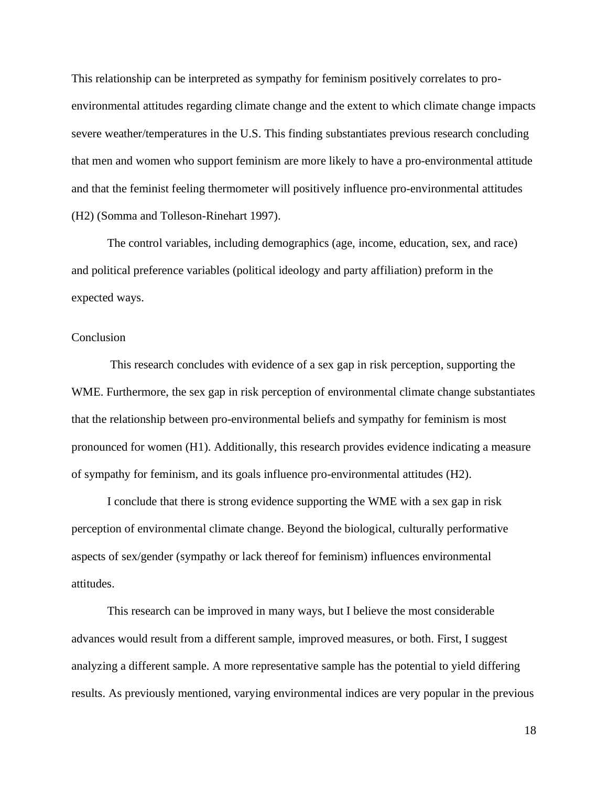This relationship can be interpreted as sympathy for feminism positively correlates to proenvironmental attitudes regarding climate change and the extent to which climate change impacts severe weather/temperatures in the U.S. This finding substantiates previous research concluding that men and women who support feminism are more likely to have a pro-environmental attitude and that the feminist feeling thermometer will positively influence pro-environmental attitudes (H2) (Somma and Tolleson-Rinehart 1997).

The control variables, including demographics (age, income, education, sex, and race) and political preference variables (political ideology and party affiliation) preform in the expected ways.

#### <span id="page-23-0"></span>**Conclusion**

This research concludes with evidence of a sex gap in risk perception, supporting the WME. Furthermore, the sex gap in risk perception of environmental climate change substantiates that the relationship between pro-environmental beliefs and sympathy for feminism is most pronounced for women (H1). Additionally, this research provides evidence indicating a measure of sympathy for feminism, and its goals influence pro-environmental attitudes (H2).

I conclude that there is strong evidence supporting the WME with a sex gap in risk perception of environmental climate change. Beyond the biological, culturally performative aspects of sex/gender (sympathy or lack thereof for feminism) influences environmental attitudes.

This research can be improved in many ways, but I believe the most considerable advances would result from a different sample, improved measures, or both. First, I suggest analyzing a different sample. A more representative sample has the potential to yield differing results. As previously mentioned, varying environmental indices are very popular in the previous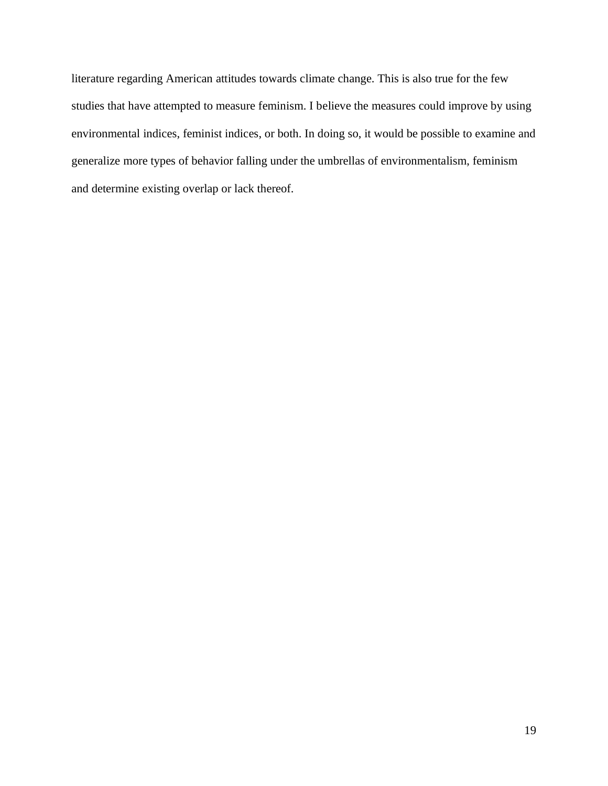literature regarding American attitudes towards climate change. This is also true for the few studies that have attempted to measure feminism. I believe the measures could improve by using environmental indices, feminist indices, or both. In doing so, it would be possible to examine and generalize more types of behavior falling under the umbrellas of environmentalism, feminism and determine existing overlap or lack thereof.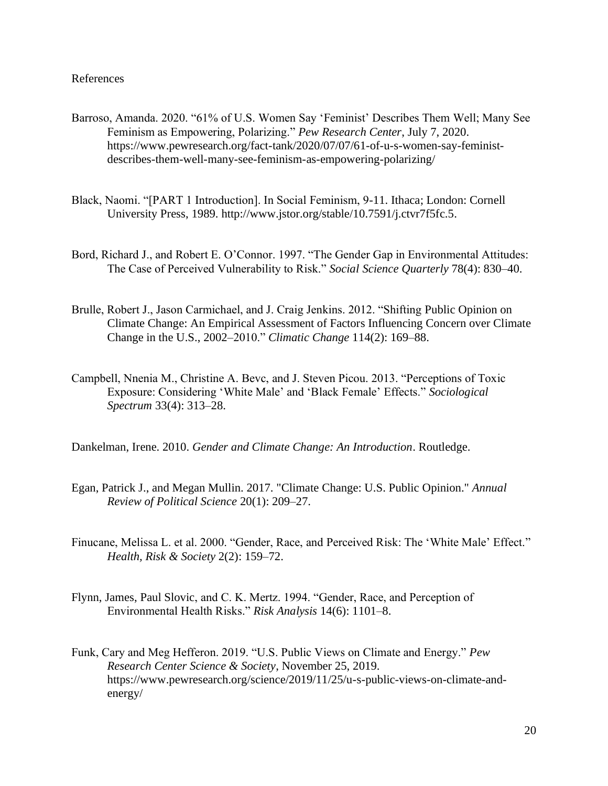#### <span id="page-25-0"></span>References

- Barroso, Amanda. 2020. "61% of U.S. Women Say 'Feminist' Describes Them Well; Many See Feminism as Empowering, Polarizing." *Pew Research Center*, July 7, 2020. https://www.pewresearch.org/fact-tank/2020/07/07/61-of-u-s-women-say-feministdescribes-them-well-many-see-feminism-as-empowering-polarizing/
- Black, Naomi. "[PART 1 Introduction]. In Social Feminism, 9-11. Ithaca; London: Cornell University Press, 1989. http://www.jstor.org/stable/10.7591/j.ctvr7f5fc.5.
- Bord, Richard J., and Robert E. O'Connor. 1997. "The Gender Gap in Environmental Attitudes: The Case of Perceived Vulnerability to Risk." *Social Science Quarterly* 78(4): 830–40.
- Brulle, Robert J., Jason Carmichael, and J. Craig Jenkins. 2012. "Shifting Public Opinion on Climate Change: An Empirical Assessment of Factors Influencing Concern over Climate Change in the U.S., 2002–2010." *Climatic Change* 114(2): 169–88.
- Campbell, Nnenia M., Christine A. Bevc, and J. Steven Picou. 2013. "Perceptions of Toxic Exposure: Considering 'White Male' and 'Black Female' Effects." *Sociological Spectrum* 33(4): 313–28.

Dankelman, Irene. 2010. *Gender and Climate Change: An Introduction*. Routledge.

- Egan, Patrick J., and Megan Mullin. 2017. "Climate Change: U.S. Public Opinion." *Annual Review of Political Science* 20(1): 209–27.
- Finucane, Melissa L. et al. 2000. "Gender, Race, and Perceived Risk: The 'White Male' Effect." *Health, Risk & Society* 2(2): 159–72.
- Flynn, James, Paul Slovic, and C. K. Mertz. 1994. "Gender, Race, and Perception of Environmental Health Risks." *Risk Analysis* 14(6): 1101–8.
- Funk, Cary and Meg Hefferon. 2019. "U.S. Public Views on Climate and Energy." *Pew Research Center Science & Society*, November 25, 2019. https://www.pewresearch.org/science/2019/11/25/u-s-public-views-on-climate-andenergy/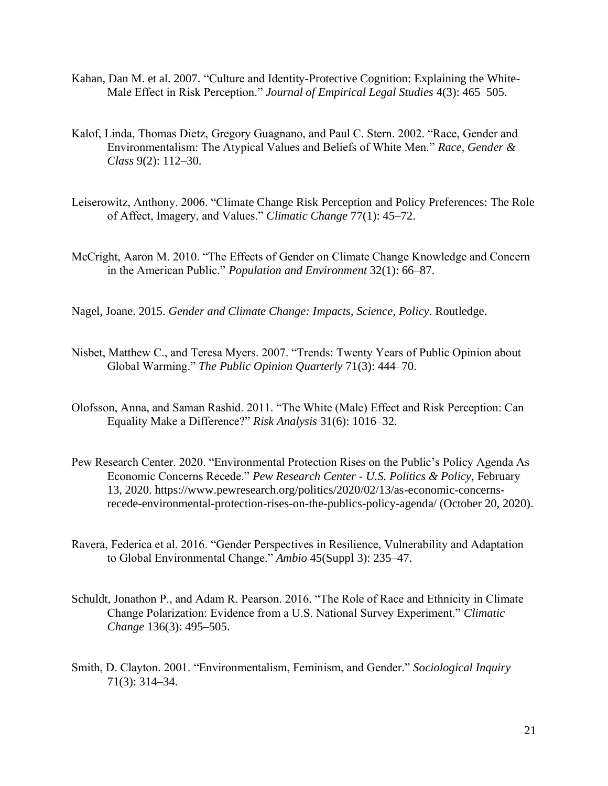- Kahan, Dan M. et al. 2007. "Culture and Identity-Protective Cognition: Explaining the White-Male Effect in Risk Perception." *Journal of Empirical Legal Studies* 4(3): 465–505.
- Kalof, Linda, Thomas Dietz, Gregory Guagnano, and Paul C. Stern. 2002. "Race, Gender and Environmentalism: The Atypical Values and Beliefs of White Men." *Race, Gender & Class* 9(2): 112–30.
- Leiserowitz, Anthony. 2006. "Climate Change Risk Perception and Policy Preferences: The Role of Affect, Imagery, and Values." *Climatic Change* 77(1): 45–72.
- McCright, Aaron M. 2010. "The Effects of Gender on Climate Change Knowledge and Concern in the American Public." *Population and Environment* 32(1): 66–87.
- Nagel, Joane. 2015. *Gender and Climate Change: Impacts, Science, Policy*. Routledge.
- Nisbet, Matthew C., and Teresa Myers. 2007. "Trends: Twenty Years of Public Opinion about Global Warming." *The Public Opinion Quarterly* 71(3): 444–70.
- Olofsson, Anna, and Saman Rashid. 2011. "The White (Male) Effect and Risk Perception: Can Equality Make a Difference?" *Risk Analysis* 31(6): 1016–32.
- Pew Research Center. 2020. "Environmental Protection Rises on the Public's Policy Agenda As Economic Concerns Recede." *Pew Research Center - U.S. Politics & Policy*, February 13, 2020. https://www.pewresearch.org/politics/2020/02/13/as-economic-concernsrecede-environmental-protection-rises-on-the-publics-policy-agenda/ (October 20, 2020).
- Ravera, Federica et al. 2016. "Gender Perspectives in Resilience, Vulnerability and Adaptation to Global Environmental Change." *Ambio* 45(Suppl 3): 235–47.
- Schuldt, Jonathon P., and Adam R. Pearson. 2016. "The Role of Race and Ethnicity in Climate Change Polarization: Evidence from a U.S. National Survey Experiment." *Climatic Change* 136(3): 495–505.
- Smith, D. Clayton. 2001. "Environmentalism, Feminism, and Gender." *Sociological Inquiry* 71(3): 314–34.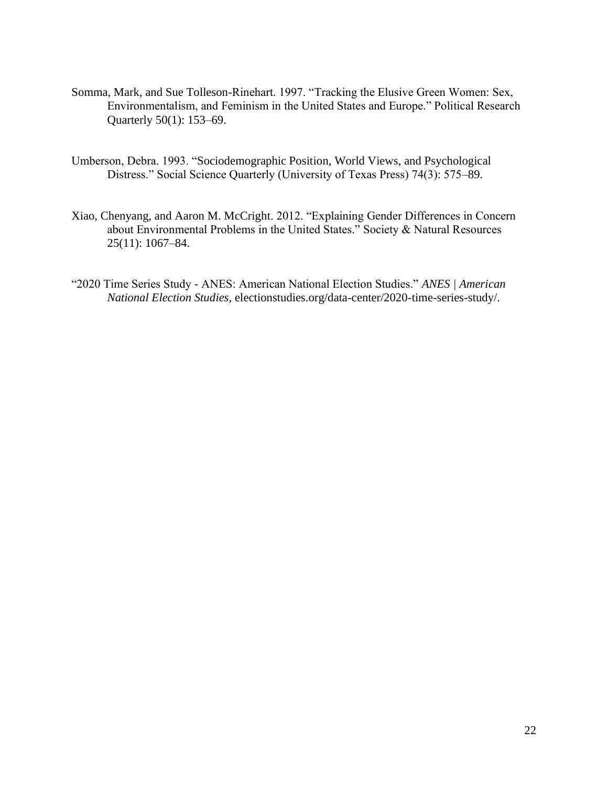- Somma, Mark, and Sue Tolleson-Rinehart. 1997. "Tracking the Elusive Green Women: Sex, Environmentalism, and Feminism in the United States and Europe." Political Research Quarterly 50(1): 153–69.
- Umberson, Debra. 1993. "Sociodemographic Position, World Views, and Psychological Distress." Social Science Quarterly (University of Texas Press) 74(3): 575–89.
- Xiao, Chenyang, and Aaron M. McCright. 2012. "Explaining Gender Differences in Concern about Environmental Problems in the United States." Society & Natural Resources 25(11): 1067–84.
- "2020 Time Series Study ANES: American National Election Studies." *ANES | American National Election Studies*, electionstudies.org/data-center/2020-time-series-study/.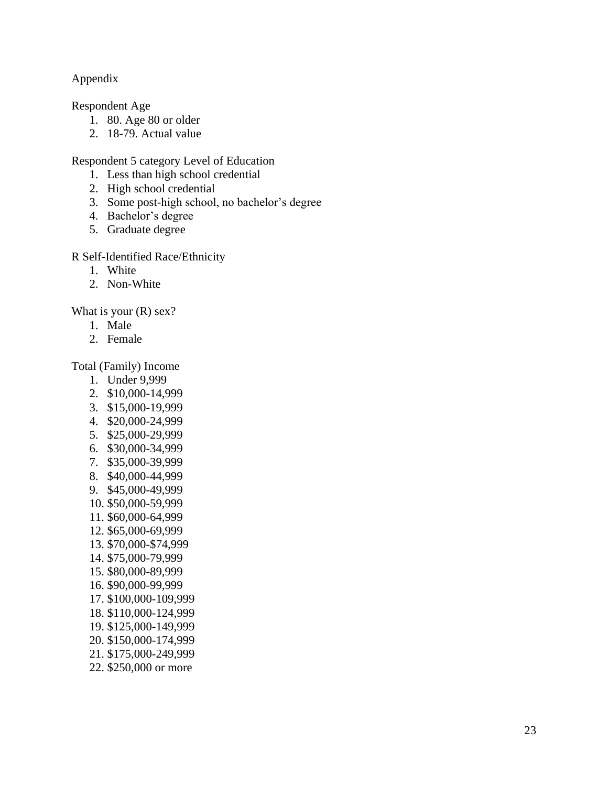## <span id="page-28-0"></span>Appendix

Respondent Age

- 1. 80. Age 80 or older
- 2. 18 -79 . Actual value

Respondent 5 category Level of Education

- 1. Less than high school credential
- 2. High school credential
- 3. Some post -high school, no bachelor's degree
- 4. Bachelor's degree
- 5. Graduate degree

## R Self-Identified Race/Ethnicity

- 1. White
- 2. Non -White

What is your (R) sex?

- 1. Male
- 2. Female

Total (Family) Income

- 1. Under 9,999
- 2. \$10,000 -14,999
- 3. \$15,000 -19,999
- 4. \$20,000 -24,999
- 5. \$25,000 -29,999
- 6. \$30,000 -34,999
- 7. \$35,000 -39,999
- 8. \$40,000 -44,999
- 9. \$45,000 -49,999
- 10. \$50,000 -59,999
- 11. \$60,000 -64,999
- 12. \$65,000 -69,999
- 13. \$70,000 -\$74,999
- 14. \$75,000 -79,999
- 15. \$80,000 -89,999
- 16. \$90,000 -99,999
- 17. \$100,000 -109,999
- 18. \$110,000 -124,999
- 19. \$125,00 0 -149,999
- 20. \$150,0 0 0 -174,999
- 21. \$175,000 -249,999
- 22. \$250,000 or mor e